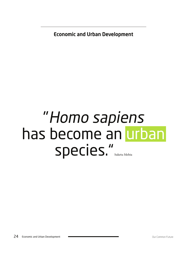Economic and Urban Development

# "Homo sapiens has become an urban species." Suketu Mehta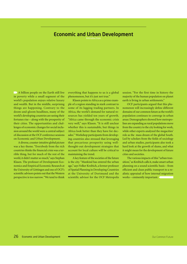## Economic and Urban Development

A billion people on the Earth still live in poverty while a small segment of the world's population enjoys relative luxury and wealth. But in the middle, surprising things are happening. Contrary to the doom-and-gloom headlines, many of the world's developing countries are seeing their fortunes rise – along with the prosperity of their cities. The opportunities and challenges of economic changes for social inclusion around the world were a central subject of discussion at the OCF conference sessions on Economic and Urban Development.

A diverse, counter-intuitive global picture was a key theme. "Everybody from the rich countries thinks the financial crisis was a terrible thing, but for much of the rest of the world, it didn't matter so much," says Stephan Klasen. The professor of Development Economics and Empirical Economic Research at the University of Göttingen and one of OCF's scientific advisors points out that the Western perspective is too narrow. "We tend to think everything that happens to us is a global phenomenon, but it's just not true."

Klasen points to Africa as a prime example of a region standing in stark contrast to some of its lagging trading partners. In Africa, the world's demand for natural resources has yielded ten years of growth. "Africa came through the economic crisis very well," says Klasen. "It is still unclear whether this is sustainable, but things in Africa look better than they have for decades." Workshop participants from developing countries also stressed that leveraging that precarious prosperity using wellthought-out development strategies that account for local culture will be critical to maintaining the trend.

A key feature of the societies of the future is the city. "Mankind has entered the urban age," says Volker Kreibich, a former professor of Spatial Planning in Developing Countries at the University of Dortmund and the scientific advisor for the OCF Metropolis  session. "For the first time in history the majority of the human population on planet earth is living in urban settlements."

OCF participants argued that this phenomenon will increasingly define different domains of our common future as the world's population continues to converge in urban areas: Demographers showed how metropolises are expanding as rural populations move from the country to the city looking for work, while other experts analyzed the megacities' role as the mass dream of the global South. Led by scholars from the fields of sociology and urban studies, participants also took a hard look at the growth of slums, and what it might mean for the development of future cities and societies.

The various impacts of this "urban transition," as Kreibich calls it, make smart urban planning on a sound scientific basis – from efficient and clean public transport to a realistic appraisal of how internal migration works – eminently important.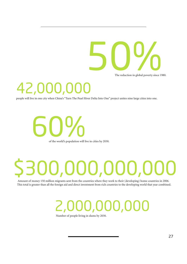

The reduction in global poverty since 1980.

# 42,000,

people will live in one city when China's "Turn The Pearl River Delta Into One" project unites nine large cities into one.

of the world's population will live in cities by 2030. 60%

# \$300,000,000,000

 Amount of money 150 million migrants sent from the countries where they work to their (developing) home countries in 2006. This total is greater than all the foreign aid and direct investment from rich countries to the developing world that year combined.

# 2,000,000,000

Number of people living in slums by 2030.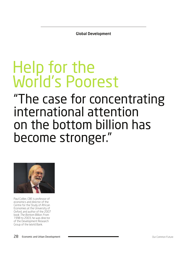Global Development

# Help for the World's Poorest

# "The case for concentrating international attention on the bottom billion has become stronger."



Paul Collier, CBE is professor of economics and director of the Centre for the Study of African Economies at the University of Oxford, and author of the 2007 book The Bottom Billion. From 1998 to 2003, he was director of the Development Research Group of the World Bank.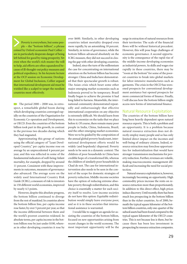Poverty is everywhere, but some people – the "bottom billion", a phrase coined by Oxford economist Paul Collier – are in particularly desperate danger of being left behind for good by rising prosperity. Yet even when the world's rich muster the will to help, aid efforts are often squandered because of ill-thought-out policy measures and political expediency. In his keynote lecture at the OCF session on Economic Development for Global Inclusion, Collier argued that international development aid must be wielded like a scalpel to target the neediest countries most effectively.

The period  $2000 - 2008$  was, in retrospect, a remarkable global boom during which developing countries converged rapidly on the countries of the Organisation for Economic Co-operation and Development, or OECD. Even the countries of the bottom billion took part in this growth, in contrast to the previous two decades during which they had stagnated.

Approximating this group of nations using the official category of "Least Developed Country," per capita income rose on average by an unprecedented 4 percent per year, and this was reflected in some of the fundamental indicators of well-being: Infant mortality, for example, dropped by around 11 percent. Consistent with these improvements in outcomes, measures of governance also advanced: The average score on the widely used International Country Risk Guide (ICRG), a measure of risk to investors in 150 different world economies, improved by nearly 4.5 points.

However, despite this absolute progress, the bottom billion continued to diverge from the rest of mankind. In countries above the bottom billion line, per capita income rose faster, by over 5 percent per year, so that the income differential between them and the world's poorest countries widened. In absolute terms, per capita income in the bottom billion rose by just under \$100, whereas in other developing countries it rose by over \$600. Similarly, in other developing countries infant mortality dropped even more rapidly, by an astonishing 18 percent. Similarly, in terms of governance, while the bottom billion advanced absolutely on the ICRG measure, they did not succeed in closing the gap with other developing countries.

Indeed, since the turn of the millennium the case for concentrating on international attention on the bottom billion has become stronger. China and India have demonstrated that their spectacular growth is robust. The Asian crisis which beset some other major emerging market economies such as Indonesia proved to be temporary. Brazil finally began to achieve the promise it had long failed to harness. Meanwhile, the international community demonstrated repeatedly and embarrassingly that effective international cooperation on any objective is extremely difficult. We should learn from this to economize on the tasks that we place before it. Of course, there remain many poor people in India, China, Indonesia, Brazil, and the other emerging market economies. Were we to be guided by the composition of the annual global poverty headcount, international development efforts would be widely (and hopelessly) dispersed. Poverty needs to be seen in a dynamic context: The children of poor households in China have credible hope of a transformed life, whereas the children of similarly poor households in Chad do not. The case for international intervention also needs to be seen in the context of the scope for domestic strategies of poverty reduction. Middle-income societies have the option of reducing extreme absolute poverty through redistribution, and this choice is essentially a matter for each society itself to resolve. Low-income societies do not have this option: Equitable redistribution would simply leave everyone poor, and so it is in these societies that international assistance is warranted.

I would like to suggest an agenda for assisting the countries of the bottom billion, focused on new opportunities arising from recent changes in the world economy. The most important opportunity will be the surge in extraction of natural resources from their territories: The scale of the financial flows will be without historical precedent. However, this will pose huge challenges of economic governance. A second opportunity is the consequence of the rapid rise of the middle-income developing economies as industrial powers. As skills and wages rise rapidly in these countries, there may be "room at the bottom" for some of the poorest countries to break into global markets for labor-intensive manufactures such as garments. The crisis in the OECD has worsened prospects for conventional development assistance but opened prospects for more commercial forms of finance. Finally, I will discuss how the bottom billion might access new forms of international finance.

#### Natural Resource Exploitation

The countries of the bottom billion have long been heavily dependent upon natural resource exports. This is both a problem and an opportunity. It is a problem because natural resource extraction does not directly employ many people and so has only limited direct impact on the incomes and well-being of ordinary citizens. Indeed, resource extraction may foreclose opportunities for industrialization that would have stronger transmission mechanisms for poverty reduction. Further, revenues are volatile, making macroeconomic management difficult and increasing the need for social protection.

Natural resource exploitation is, however, increasingly becoming an opportunity. High commodity prices increase the rents on resource extraction more than proportionately. In addition to this direct effect, high prices induce discovery. Until recently, there has been much less prospecting in the bottom billion than in the richer countries. As of 2000, beneath the typical square kilometer of the bottom billion countries, only one-quarter of the subsoil assets had been found compared to the typical square kilometer of the OECD countries. This is not because less is there, but because there has been less investment in prospecting by resource extraction companies.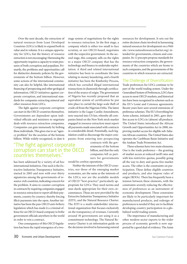Over the next decade, the extraction of natural resources from Least Developed Countries (LDCs) is likely to expand both in value and in volume. It is a unique opportunity for LDCs, but the history of resource extraction is not encouraging: Harnessing the opportunity requires a capacity to resist pressures of both corruption and populism. Primarily, the problems and opportunities call for distinctive domestic policies by the governments of the bottom billion. However, some actions of the international community can also be helpful, like international financing of prospecting and other geological information, OECD initiatives against corporate corruption, and international standards for companies extracting mineral and other resources from LDCs.

The fight against corporate corruption can start in the OECD countries themselves. Governments are dependent upon individual officials and ministers to negotiate deals with resource extraction companies. Companies can gain immensely by bribing these individuals. This gives rise to an "agency problem" for the societies of the bottom billion. While widely recognized, to date it

### "The fight against corporate corruption can start in the OECD countries themselves."

has been addressed by a variety of ad hoc international initiatives. One such is the Extractive Industries Transparency Initiative, started in 2003 and now with over thirty signatories among the governments of resource-rich countries, indicating concern for the problem. It aims to counter corruption in contracts by requiring companies engaged in resource extraction to report all their payments, country by country; thereby forcing illicit payments into the open. Another initiative has been the pan-OECD anti-bribery legislation which has made it a criminal offense for an OECD-based company to bribe government officials anywhere in the world in order to win a contract.

One consequence of this OECD legislation has been the rapid emergence of a twostage system of negotiations for the rights to resource extraction. In the first stage, a company which is either too small to face scrutiny, or not OECD-based, negotiates with the respective government. In the second stage, this company sells on the rights to a major OECD company that has the technology and finance to undertake exploitation. A third and related international initiative has been to coordinate the laws relating to money laundering, and a fourth initiative has been the Kimberley Process, which has curtailed illegal international transactions in diamonds through certification of the source of origin. The government of Nigeria has recently proposed that an equivalent system of certification be put into place to curtail the large-scale theft of crude oil from the Nigerian Delta. The latest initiative is the Lugar-Cardin Amendment, now enacted into US law, whereby all companies listed on the New York stock market engaged in resource extraction must report all payments made associated with contracts in considerable detail. Potentially, such legislation could so discourage the major companies from entering into prospecting

> contracts with the governments of the bottom billion, and that the only companies left as partners for governments

would be cowboy operations.

Neither the interests of the OECD countries, nor those of the emerging market economies, are the same as the interests of the LDCs; nor are the available models of OECD "best-practice" particularly appropriate for LDCs: They need norms and stan-dards appropriate for their own circumstances. These are now provided by the Extractive Industries Transparency Initiative (EITI), and the Natural Resource Charter. The EITI is a multi-stakeholder international organization that focuses exclusively on the transparency of revenues. Currently around 30 governments are using it as a commitment technology. The Natural Resource Charter is an information guide on the decisions involved in harnessing natural resources for development. It sets out the entire decision chain involved in harnessing natural resources for development on a Web site (www.naturalresourcecharter.org) intended for governments, citizens and companies. Its 12 precepts propose standards for resource extraction companies, the governments of the countries which are home to such companies, and the governments of the countries in which resources are extracted.

#### The Challenge of Diversification

Trade preferences for LDCs continue to be part of the world trading system. Under the Generalised System of Preferences, LDCs have access to most OECD markets, and historical ties have been recognized in schemes such as the EU's Lomé and Cotonou agreements. Recent years have seen several extensions of preference schemes. The EU's Everything but Arms scheme, initiated in 2001, gave dutyfree access to LDCs in (almost) all products. The United States introduced the African Growth and Opportunities Act in 2000, improving market access for eligible sub-Saharan African countries. The United States also operates the Caribbean Basin Initiative and the Andean Trade Promotion Act.

These schemes have two main elements. One is the trade preference – the granting of market access at reduced tariff rates and with less restrictive quotas, possibly going all the way to duty and quota-free market access. The other is the constraints on participation. These define eligible countries and products, and also impose rules of origin (ROOs). There has frequently been a tension between these elements, with the constraints severely reducing the effectiveness of preferences as an instrument of economic development. These constraints are likely to be particularly important for manufactured products, and redesign of preferences is needed if they are to facilitate developing country participation in a globalized world trading system.

The importance of manufacturing and other modern sector exports to the wider process of economic growth is now supported by a good deal of evidence. The Asian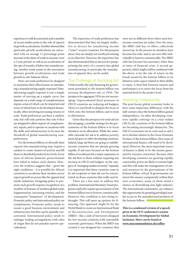experience is well documented, and a number of recent studies point to the role of exports in growth accelerations. Another showed that particular growth accelerations are associated with an average 13 percentage point increase in the share of trade in income (over a 5-year period) as well as an acceleration of the rate of transfer of labor into manufacturing. Another study points to the association between growth accelerations and trade growth in sub-Saharan Africa.

How can trade preferences be designed to maximize their effectiveness in stimulating a manufacturing supply response? Manufacturing supply response is not a simple matter of moving up a supply curve, but depends on a wide range of complementary inputs, some of which can be imported and some of which have to be developed domestically, often involving increasing returns to scale. Trade preferences can have a catalytic role, but will only perform this role if they are designed to allow import of complementary inputs, and to operate in countries with the skills and infrastructure to be near the threshold of global manufacturing competitiveness.

For the bottom billion, to diversify their exports into manufacturing may require a catalyst to create clusters of activity and lift them to threshold productivity levels. Forty years of African domestic protectionism have failed to induce such clusters. However, the evidence suggests that – given the right conditions – it is possible for African countries to accelerate their modern sector export growth in sectors like the apparel and textile industries. Designing policy to promote such growth requires recognition of a number of features of modern global trade; fragmentation, increasing returns, and the consequent "lumpiness" of development. Domestic policy and international policy are complements. Domestic policy needs to ensure a good business environment and infrastructure, but this can be spatially concentrated. International policy needs to redesign trading arrangements with rules of origin that do not penalize narrow specialization.

The experience of trade preferences has demonstrated that they are largely ineffective as devices for transferring income ("rents") to poor countries. For this purpose alone, they are simply not worth prioritizing as an objective. However, the experience has also demonstrated that as devices for pumppriming the entry of a country into global manufacturing, in particular the manufacture of apparel, they can be useful.

#### The Challenge of Declining Aid

Until recently, the only financing for government permitted to the bottom billion was overseas development aid, or ODA. The prospects for aggregate ODA are not encouraging: Unprecedented fiscal pressures in OECD countries are reducing aid budgets. There is a need both to sharpen the focus of ODA onto the bottom billion, and to look to alternatives.

Given that the prospects for total aid are discouraging, a sensible strategy for the governments of the bottom billion is to focus attention on its allocation. While the ostensible rationale for aid is to address poverty, most aid goes to other developing countries. Indeed, large aid flows are going to middleincome countries that are already growing rapidly. If aid were focused on the bottom billion it would permit a major expansion in the aid flow to them without requiring any increase in OECD aid budgets. As the category of "emerging market economy" expands, it is important that these countries cease to be aid recipients so that aid can be concentrated on those countries that really need it.

There are a few ways to address this problem. International Monetary Fund programs explicitly require governments of the bottom billion not to borrow commercially. However, this condition is now being rethought. This will open up options for financing. One approach might be for the World Bank to create an International Bank of Reconstruction and Development (IBRD)– like a club of borrowers designed for low-income countries with reasonable economic governance. When the IBRD was created it was designed for countries that were not so different from where such lowincome countries are today. Over the years, the IBRD club has, in effect, collectively moved up. In the process its members have become less risky and so are now able individually to borrow commercially: The IBRD club has become less necessary other than at times of financial crisis. A second approach, which might well be combined with the above, is for the rate of return on the bonds issued by the bottom billion to be linked to some aspect related to their ability to repay. A final link between returns and performance is to move the focus from the national level to the project level.

#### Investing Competently

The post-boom global economy looks to have some important differences with the half-century since the bottom billion gained independence. As other developing countries rapidly converge on a crisis-ridden OECD, the countries of the bottom billion are becoming increasingly distinctive. The OECD economies are in crisis and so aid is set to decline relative to the Gross Domestic Product of the bottom billion: New types of international finance will need to be developed. However, the most important source of finance is likely to be the money generated by resource extraction. Because other developing countries are growing rapidly, commodity prices are likely to remain high, and this will make the management of natural resources by the governments of the bottom billion critical. If governments can invest this money competently within their own economies, some of them stand a chance of diversifying into light industry. The international community can enhance this opportunity by granting privileged market access to the manufactured products of the bottom billion.

**This is a condensed version of a speech given at the OCF conference's session on Economic Development for Global Inclusion. More can be found at www.ourcommonfuture.de/collier**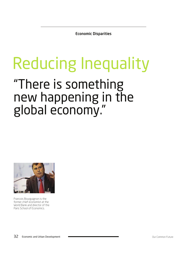Economic Disparities

# "There is something new happening in the global economy." Reducing Inequality



Francois Bourguignon is the former chief economist at the World Bank and director of the Paris School of Economics.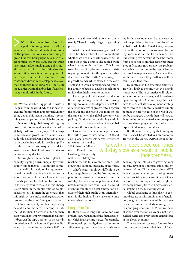It's a difficult conundrum: Global inequality is going down overall, the gaps between the world's richest and some of the poorest nations are continuing to grow. Francois Bourguignon, former chief economist at the World Bank, says that trade, investment, aid, technology, and policy must all play a part in turning this situation around. At the same time, Bourguignon told participants in the Our Common Future conference's Economic Development session that countries must beware of the rising inequalities within their borders if development is to flourish in the future.

We are at a turning point in history. Inequality in the world, which has been increasing for more than four centuries, is now going down. This means that there is something new happening in the global economy.

Not only is global inequality going down, but it is going down at a time when global growth is extremely rapid. The change is not because growth in rich countries is suddenly slowing down, but because growth in the developing world is speeding up. The combination of less inequality and fast growth means that global poverty rates are falling very rapidly, too.

Strikingly, at the same time global inequality is going down, inequality within countries is on the rise. It seems that domestic inequality is partly replacing international inequality, which is a threat to the whole process of global development. If inequality goes up too fast and by too much in too many countries, and if this change is attributed in the public opinion to globalization, as it is often the case today, then this might act as a brake on the globalization process and the gains from globalization.

Global inequality has been increasing basically since the early 19th century until the 1980s. Then it flattened out. And there even was a slight improvement in the disparity between the top 20 percent of the world's population and the bottom 20 percent. But when you look at the period since 1997, the global inequality trend dips downward very steeply. There is clearly a big change taking place.

What is behind this changing inequality? There has been a lot of discussion about whether we live in a world where what is going on in the North is decoupled from what is going on in the South. This is not true of economic cycles and the recent crisis is good proof of it. One thing is remarkably clear, however: The North–South divergence in growth trends, which started in the early 1990s and in which developing and emerging countries begin to develop much more rapidly than high-income countries.

The drop in global inequality is due to this divergence in growth rate. Even during the big recession, in the depths of 2009, the difference in terms of growth rates between the South and the North was more or less the same as when the global economy was peaking. Gradually, the developing world is catching up. In the evolution of the global economy, this is something new.

This has had dramatic consequences for the world's poverty rate. Between 1980 and 2005, global poverty was halved. If we were

to extend the trend to 2015, then the Millennium Development Goal on global poverty will most likely be

reached thanks to a combination of fast growth and declining inequality in the world.

What's next? It is always difficult to do long-range forecasts, but the first important point is that growth in developed countries will stay slow as a result of public indebtedness. Many important countries in the world are in the middle of a fiscal contraction because of their high public debt. Unemployment is also high and may take some time to come back to normal.

#### Long-Run Trends

But there are also long-run forces for slow growth: New regulation of the financial sector, which is just getting started, for example. Even more importantly, there is a long-term adjustment process away from manufacturing in the developed world that is causing serious problems for the countries of the global North. In the United States, five percent of the labor force has lost manufacturing jobs just in the last decade. Just transferring five percent of the labor force from one sector to another sector produces a lot of frictions. In Germany, the problem is much less acute, but in the rest of Europe the problem is quite serious. Because of that, for the next 10 years the growth rate of those countries will be low.

By contrast, in big emerging countries, growth is likely to continue, yet at a slightly slower pace. Those countries will rely on growing domestic markets, which are developing very quickly. At some stage, China will have to reorient its development strategy more toward the domestic market, simply because the growth rate in the North will not be that great. Growth then will have to focus on its domestic market or on exports to other developing countries rather than exports to developed countries.

But there is no denying that emerging countries will be affected by slow economic growth in the North. Despite the fact that

### "Growth in developed countries will stay slow as a result of public indebtedness."

developing countries are growing very quickly, developed countries still represent between 55 and 72 percent of global GDP, depending on whether purchasing power parities are taken into account or not. Onehalf or even three-quarters of the global economy slowing down will have a substantial impact on the rest of the world.

Global equalizing is thus likely to continue because of this combination of regulation, long-term adjustment in labor markets in rich countries, and dynamic growth in emerging economies. What we have observed over the last 20 years is not just a cyclical event. It is a very strong central force in the global economy.

There are several caveats, of course. Poor countries, in particular sub-Saharan African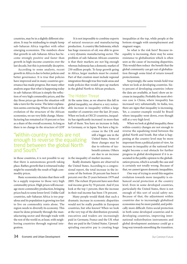countries, may be in a slightly different situation. It may be misleading to simply lump sub-Saharan Africa together with other emerging economies. The numbers show that growth in sub-Saharan Africa has become strongly positive and faster than growth in high-income countries over the last decade, but this is potentially deceptive.

According to some analysts, recent growth in Africa is due to better policies and better governance. It is true that policies have improved and in many countries governance has made progress. But many other analysts argue that what is happening today in sub-Saharan African is simply the reflection of very high commodity prices, and the day those prices go down the situation will take a turn for the worse. The latter explanation seems convincing. When we look at the evolution of the structure of the African economies, we see very little change. Manufacturing has remained at 10 percent or less as a share of the overall economy. As long as there is no change in the structure of GDP

### "Within-country trends are not enough to reverse the equalizing trend between the global North and South."

in those countries, it is not possible to say that there is autonomous growth taking place. Rather, growth that is witnessed today might be essentially the result of high commodity prices.

Basic economics dictates that there will be a supply response to those very high commodity prices. High prices will encourage more commodity production, bringing prices back to some lower level. Unlike Gulf countries, sub-Saharan Africa is too populous and its population is growing too fast to live on commodity rents alone. The region needs to diversify its economy. This must be done primarily through the manufacturing sector and through trade with the rest of the world or, at least, with neighboring countries through regional integration.

 It is not impossible to combine exports of natural resources and manufacturing production. A country like Indonesia, which has huge resources of oil, was able to grow a very dynamic manufacturing sector. The problem of sub-Saharan African countries is that their markets are not big enough whereas Indonesia has a domestic market of 250 million people. To keep growth going in Africa, larger markets must be created. Part of that creation must include regional integration through true free trade areas and trade policies that would open up markets in the global North to African products.

#### The Hidden Threat

At the same time, as we observe this fall in global inequality, we observe a very noticeable increase in inequality within a large number of countries over the last 20 years. When we look at OECD countries, inequality has significantly increased in more than half of them. You have an increase in Italy, in Germany, or in Japan. You have a big in-

crease in the UK and still a bigger one in the United States. Some of these changes may be due to reforms of taxbenefit systems. Others are due to an increase

in the inequality of market incomes.

Really dramatic figures are observed in the United States. According to a congressional report, the total increase in the income of the bottom 20 percent has been 6 percent over the 25 years between 1979 and 2005. The richest 20 percent have seen their real income grow by 70 percent. And if you look at the top 1 percent, then the increase in their real income has been 176 percent.

Many people would think that such a dramatic increase in economic disparities would not be really possible in European countries, but who knows? When we look at the very top of the distribution pyramid, executives and traders are increasingly paid in Germany, France and the UK what they are paid in the United States. Upwardspiraling executive pay is creating huge inequalities at the top, while people at the bottom struggle with unemployment and stagnant wages.

So what is the risk here? Because inequality is increasing, there may be some resistance to globalization which is often seen as the cause of increasing disparities. This would then reduce the benefit that the global community can get out of globalization through some kind of return toward protectionism.

Surprisingly, the same trends hold true when we look at developing countries. Sixty percent of developing countries (where the data are available, at least) show an increase in inequality. Probably the most obvious case is China, where inequality has increased very substantially. In India, too, there are signs that inequality is increasing. Yet, a counter-example would be Brazil where inequality went down, even though still at a very high level.

When we look at global inequality, these within-country changes are not enough to reverse the equalizing trend between the global North and South. But what is happening at the country level may be more important from a political point of view. An increase in inequality at the national level might become a real obstacle for further progress in global development if it is associated in the public opinion to the globalization process, which is actually the case and is certainly not totally wrong. Because of that, we cannot ignore domestic inequalities.

One way of trying to avoid this negative evolution towards more inequality is enhanced social protection at the country level. Even in some developed countries, particularly the United States, there is not enough of this sort of social safety net. Because of that, the adjustment within countries due to increasingly globalized economies may be more painful, and politically more difficult. Extra social protection in both some developed countries and in developing countries, improving international redistribution instruments and global development assistance could go a long way towards smoothing the transition.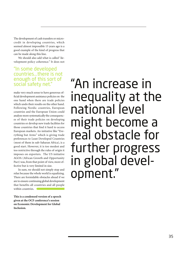The development of cash transfers or microcredit in developing countries, which seemed almost impossible 15 years ago is a good example of the kind of progress that can be made along this line.

We should also add what is called "development policy coherence." It does not

# "In some developed countries...there is not enough of this sort of<br>social safety net."

make very much sense to have generous official development assistance policies on the one hand when there are trade policies which undo their results on the other hand. Following Nordic countries, European countries and the European Union could analyze more systematically the consequences of their trade policies on developing countries or develop new trade facilities for those countries that find it hard to access European markets. An initiative like "Everything but Arms" which is giving trade preferences to Least Developed Countries (most of them in sub-Saharan Africa), is a good start. However, it is too modest and too restrictive through the rules of origin it imposes on exporters. The US initiative AGOA (African Growth and Opportunity Pact) was, from that point of view, more effective but is very limited in size.

In sum, we should not simply stop and relax because the whole world is equalizing. There are formidable obstacles ahead if we are to ensure continuing global development that benefits all countries and all people within countries.

**This is a condensed version of a speech given at the OCF conference's session on Economic Development for Global Inclusion.** 

"An increase in inequality at the national level might become a real obstacle for further progress in global development."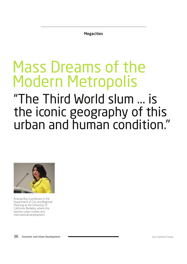**Megacities** 

# Mass Dreams of the Modern Metropolis

# "The Third World slum ... is the iconic geography of this urban and human condition."



Ananya Roy is professor in the Department of City and Regional Planning at the University of California, Berkeley, where she teaches urban studies and international development.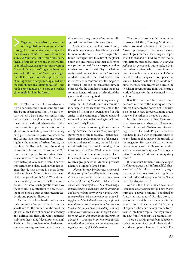Regarded from the North, many cities of the global South are understood through their vast, informal urban spaces – their slums, in short. Hit movies feature the slums of Mumbai, reality tours take in the favelas of Rio de Janeiro and the townships of South Africa, and Nigeria's mushrooming "make-do" megacity of Lagos has become a symbol for the future of Africa. Speaking at the OCF's session on Metropolis, urban planning expert Ananya Roy explained how the term slum is an oversimplification – and made some guesses as to how the world's cities might look in the future.

The 21st century will be an urban century, one where the human condition will also be an urban condition. The 21st century will also be a Southern century and perhaps even an Asian century. Much of the urban growth and urbanization of this century will take place in the cities of the global South, including those of the newly emergent economic powerhouses, India and China. I am interested in understanding how the making of urban futures, the making of collective futures, the making of common futures is at stake in the 21st century metropolis. To understand this it is necessary to conceptualize the 21st century metropolis as a mass dream. I borrow this term from Suketu Mehta, who has argued that "just as cinema is a mass dream of the audience, Mumbai is a mass dream of the people of South Asia." What does it mean to study the future itself as a mass dream? To answer such questions we have to, of course, pay attention to how the cities of the global South are narrated in academic and popular discourse.

In the urban imagination of the new millennium, the "megacity" has become the shorthand for the human condition of the global South. Cities of enormous size, they are delineated through what Jennifer Robinson has called "developmentalism." Their herculean problems of underdevelopment – poverty, environmental toxicity, disease – are the grounds of numerous diagnostic and reformist interventions.

And it is the slum, the Third World slum, that is the iconic geography of this urban and human condition. It is the "recognizable frame" through which the cities of the global South are understood and their difference mapped and located. If we are to pay attention to what postcolonial critic Gayatri Chakravorty Spivak has identified as the "worlding of what is now called the Third World," then it is necessary to confront how the megacity is "worlded" through the icon of the slum. In other words, the slum has become the most common itinerary through which cities of the global South are recognized.

I do not use the term itinerary casually. Today, the Third World slum is a touristic itinerary, with reality tours available in the favelas of Rio, in the townships of South Africa, in the kampungs of Indonesia, and featured in travel guides ranging from Frommer's to Lonely Planet.

Such itineraries of recognition are interesting because they disrupt apocalyptic stereotypes of the megacity. Against academic and popular renditions of the megacity as a planet of slums, marked by the warehousing of surplus humanity, slum tours present the Third World slum as places of enterprise and economic activity. Here for example is how Pukar, an experimental research group based in Mumbai, presents Dharavi, Mumbai's famed slum:

*Dharavi is probably the most active and lively part of an incredibly industrious city. People have learned to respond in creative ways to the indifference of the state … Dharavi is all about such resourcefulness. Over 60 years ago, it started off as a small village in the marshlands and grew, with no government support, to become a million-dollar economic miracle providing food to Mumbai and exporting crafts and manufactured goods to places as far away as Sweden. No master plan, urban design, zoning ordinance, construction law or expert knowledge can claim any stake in the prosperity of Dharavi.… Dharavi is an economic success story that the world must pay attention to during these times of global depression.*

This too, of course, was the theme of the controversial film, *Slumdog Millionaire*. While protested in India as an instance of "poverty pornography," the film can be read as an allegory for the 21st century metropolis and its *dhandha*, a Hindi word that means transactions, hustles, business. In *Slumdog Millionaire*, everyone is out to make a deal: the traders in misery who maim children so that they can beg on the sidewalks of Mumbai; the traders in space who replace the slums of Dharavi with sky-high condominiums; the traders in dreams who create the television programs and films that create a world of fantasy for those who need it, rich and poor.

It is thus that the Third World slum becomes central to the making of urban futures. Suddenly, the horizon of urbanism is no longer in New York, or London, or Los Angeles, but rather in the global South.

It is thus that star architect Rem Koolhaas interprets the urbanism of Lagos as a "culture of make-do." In his encounter with Lagos, part of Harvard's Project on the City, Koolhaas is taken with the inventiveness of its residents as they survive the travails of the megacity. He sees such experimental responses as generating "ingenious, critical alternative systems," a type of "self-organization" creating "intense emancipatory zones."

It is thus that Iranian-born sociologist Asef Bayat argues that "informal life," characterized by "flexibility, pragmatism, negotiation, as well as constant struggle for survival and self-development" is the "habitus of the dispossessed."

And it is thus that Peruvian economist Hernando de Soto presents the Third World slum as a "people's economy" populated by "heroic entrepreneurs." For de Soto such economies are rich in assets, albeit in the defective form of dead capital. The "mystery of capital" is how such assets can be transformed into liquid capital, thereby unleashing new frontiers of capital accumulation.

There is a striking resemblance between such arguments of economic libertarianism and the utopian schemes of the left. For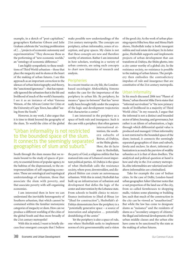example, in a sketch of "post-capitalism," geographers Katharine Gibson and Julie Graham celebrate the "exciting proliferation of *[…]* projects of economic autonomy and experimentation." They showcase these as the performing of "new economic worlds," an "ontology of economic difference."

I am highly sympathetic to these renditions of Third World urbanism – those that place the megacity and its slums at the heart of the making of urban futures. I see this approach as an important correction to the silences of urban historiography and theory, the "sanctioned ignorance" – that has repeatedly ignored the urbanism that is the life and livelihood of much of the world's humanity. I see it as an instance of what Vanessa Watson, of the African Center for Cities at the University of Cape Town, has called "seeing from the South."

However, in my work, I also argue that it is time to think beyond the geography of the slum. To world the cities of the global

### "Urban informality is not restricted to the bounded space of the slum. It connects the seemingly separated geographies of slum and suburb."

South through the slum means that we remain bound to the study of spaces of poverty, to essential forms of popular agency, to the habitus of the dispossessed, to the entrepreneurialism of self-organizing economies. These are ontological and topological understandings of urbanism, those that associate the slum with poverty, and that associate poverty with self-organizing economies.

I am interested then in how we can understand the inevitable heterogeneity of Southern urbanism, that which cannot be contained within the familiar metonymic categories of megacity or slum. How can we produce a different worlding of the cities of the global South and thus more broadly of the 21st century metropolis?

With this in mind, I want to briefly discuss four emergent concepts that I believe make possible new understandings of the 21st century metropolis. The concepts are periphery, urban informality, zones of exception, and gray spaces. My claim is not that these concepts are new and therefore worthy of attention. Rather I am interested in how scholars, working in a variety of urban contexts, are using such concepts to chart new itineraries of research and analysis.

#### **Peripheries**

In a recent treatise on city life, the Londonbased sociologist AbdouMaliq Simone makes the case for the importance of the periphery in urban life. By periphery, he means a "space in-between" that has "never really been brought fully under the auspices of the logic and development trajectories that characterize a center."

I am interested in the periphery as a space of both rule and insurgence. Such is the case with a periphery that often garners

> international attention, the southern suburbs of Beirut, al-Dahiya, or the Shiite ghetto. Here, the de facto state is Hezbollah,

the party of God, a religious militia that has matured into one of Lebanon's most important political parties. Al-Dahiya is the space of what Hezbollah calls the resistance society, where poor, downtrodden, and displaced Shiites can create an autonomous urbanism. With this in mind, Hezbollah has built up an infrastructure of urbanism and development that defies the logic of the center and intervention by the Lebanese state. From schools to health clinics to microfinance institutions to Jihad al-Binaa (or "Jihad for construction"), Hezbollah's al-Dahiya demonstrates how the periphery is a "potentially generative space – a source of innovation and adaptation *…* potentially destabilizing of the center."

Yet the periphery is also a space of rule, one where Hezbollah seeks to implement norms of civic governmentality and a vision of the good city. As the work of urban planning experts Hiba bou Akar and Mona Harb shows, Hezbollah today is both insurgent militia and real estate developer. In its latter guise, Hezbollah supports and implements projects of urban development that can transform al-Dahiya, the Shiite ghetto, into a city center worthy of a global city. In the resistance society, no resistance is possible to the making of urban futures. The periphery then embodies the contradictory impulses of rule and insurgence that are constitutive of the 21st century metropolis.

#### Urban Informality

In his much discussed 2006 text "Planet of Slums," urban theorist Mike Davis states that "informal survivalism" is "the new primary mode of livelihood in a majority of Third World cities." In my research, I argue that the informal is not a distinct and bounded sector of labor, housing, and governance, but rather is an idiom of urbanization, a logic through which differential spatial value is produced and managed. Urban informality is not restricted to the bounded space of the slum; instead, it connects the seemingly separated geographies of slum and suburb, favela and enclave. In short, informal urbanization is as much the purview of wealthy urbanites as it is that of slum dwellers. The analytical and political question at hand is how and why in the 21st century metropolis, elite informalities are valorized and subaltern informalities are criminalized.

Take for example the case of Indian cities. In the case of Delhi, London-based urban geographer Asher Ghertner notes that a vast proportion of the land use of the city, from so-called farmhouses to shopping malls, violates some planning or building law, such that much of the construction in the city can be viewed as "unauthorized." But while the law has come to designate slums as "nuisance" and the residents of slums as a "secondary category of citizens," the illegal and informal developments of the urban middle classes and the urban elite have come to be sanctioned by the state as the making of urban futures.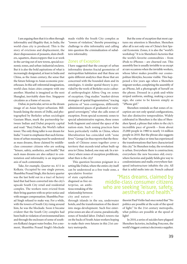I am arguing then that it is often through informality and illegality that, in India, the world-class city is produced. This is the story of evictions and displacement, the sheer dispossession of peasants, slum dwellers, squatters, sharecroppers that is at work in the carving out of new towns, special economic zones, and urban-industrial enclaves. But it is also the bold aspirations of what is increasingly designated, at least in India and China, as the Asian century, the sense that the future belongs to Asian economic powerhouses. In this self-referential imagination, world-class Asian cities compete with one another. Mumbai is imagined as the next Shanghai, inevitably slum-free. Singapore circulates as a frame of success.

Dubai, in particular, serves as the dream image of an Asian hyper-urbanism. Billboards lining the streets of Delhi, and photographed by Berkeley urban sociologist Gautam Bhan, mark the partnership between Indian and Dubai property capital and read: "Burj Dubai, the World's tallest tower. The only thing taller is our dream for India." I want to emphasize that such formations of urban meaning must be understood as mass dreams, those claimed by middleclass consumer citizens who are seeking "leisure, safety, aesthetics, and health." But such mass dreams are also subject to contestation and informality is an important axis of such contestation.

Take, for example, Quarter no. 4/11 in Kolkata. Occupied by one single person, Shambhu Prasad Singh, this factory quarter was the last hold out in a tract of factory land that had been converted into the city's upscale South City retail and residential complex. The workers were evicted from their living quarters with no prior notice and with meager compensation. Shambhu Prasad Singh refused to make way. For a while, with the towers of South City rising around him, he was the blockade. Soon it became evident that the South City complex had been built in violation of environmental laws and through the enclosure of some of southern Kolkata's largest water bodies. For a moment, Shambhu Prasad Singh's blockade made visible the South City complex as "towers of violation," thereby presenting a challenge to elite informality and calling into question the criminalization of subaltern informality.

#### Zones of Exception

I have suggested that the concept of urban informality denotes fractal geometries of metropolitan habitation and that these are quite different analytics than those that are concerned with the bounded slum and its ontologies. A similar spatial theory is provided by the work of Berkeley socio-cultural anthropologist Aihwa Ong on zones of exception. Ong studies "market-driven strategies of spatial fragmentation," tracing patterns of "non-contiguous, differently administered spaces of graduated or variegated sovereignty," what she calls zones of exception. From special economic zones to special administrative regions, these zones both fragment and extend the space of the nation-state. Such zoning practices have been particularly visible in China, where liberalization has coincided with "zone fever." George Lin thus reports that the thousands of Chinese zones together cover a territory that exceeds total urban built-up area in China. Indeed, one may ask: In a territory where zones of exception proliferate, what then is the city?

This question becomes poignant in a setting like Dubai, where the entire city itself can be understood as a free trade zone, a

speculative frontier of state capitalism disguised as free enterprise, an ambitious remaking of the relationship between city and nature –

through islands in the sea, underwater hotels, and the transformation of the desert into mega-development. Such free enterprise zones are also of course, paradoxically, zones of bonded labor. Dubai's towers rise on the backs of South Asian workers hoping to make their own futures in this 21st century metropolis.

But the zone of exception that most captures my attention is Shenzhen. Shenzhen after all is not only one of China's first Special Economic Zones, it is also the "world's workshop." It is in Shenzhen's factories that the world's favorite commodities – from iPods to iPhones – are churned out. This assembly line is usually invisible to us except at rare occasions when the invisible workers, whose labor makes possible our cosmopolitan lifestyles, become visible. This happened a few years ago when a Shenzhen migrant worker, completing the assembly of an iPhone, left a photograph of herself on the phone. Dressed in a pink-and-white striped uniform, smiling, making a peace sign, she came to be known simply as "iPhone girl."

Shenzhen reminds us that zones of exception are not only spatial configurations, but also distinctive temporalities. Widely celebrated in Shenzhen is the idea of Shenzhen Speed, a phrase that refers to the city's incredible pace of growth – from about 25,000 people in 1980 to nearly 14 million people in 2010. But the phrase also suggests that "no other place or time has experienced the transformations that have characterized this city." In Shenzhen today, the revolution is urban. Everywhere there is construction; everywhere the new becomes old; everywhere factories and paddy fields give way to condominiums and malls; everywhere fastspeed infrastructure inhabits the city. All that is solid melts into air. French cultural

### "Mass dreams, claimed by middle-class consumer citizens who are seeking 'leisure, safety, aesthetics and health.'"

theorist Paul Virilio had once noted that "No politics are possible at the scale of the speed of light." In the 21st century metropolis, what politics are possible at the speed of light?

In 2010, a series of suicides have plagued Shenzhen factories, including Foxconn, the world's biggest contract electronics supplier.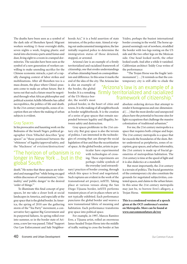The deaths have been seen as a symbol of the dark side of Shenzhen Speed: Migrant workers working 11-hour overnight shifts, seven nights a week, forging plastic and metal into electronics parts amid fumes and dust, living eight to a room in cramped dormitories. The suicides have been seen as the symbol of a new generation of workers unwilling to make unending sacrifice for the Chinese economic miracle, a part of a rapidly changing context of labor strikes and mobilizations. After all Shenzhen too is a mass dream, the place where China's peasants come to make an urban future. But it turns out that such a future must be negotiated through what African philosopher and political scientist Achille Mbembe has called necropolitics, the politics of life and death. In the 21st century metropolis, zones of exception then are where the making of urban subjects is evident.

#### Gray Spaces

In his provocative and haunting work on the Bedouins of the Israeli Negev, political geographer Oren Yiftachel describes "gray spaces" as "those positioned between the 'whiteness' of legality/approval/safety, and the 'blackness' of eviction/destruction/

### "The horizon of urbanism is no longer in New York ... but in the global South."

death." He notes that these spaces are tolerated and managed but "while being encaged within discourses of 'contamination,' 'criminality,' and 'public danger' to the desired 'order of things.'"

To illuminate this final concept of gray spaces, let me take a closer look at social landscapes in America, and especially at the gray space that is the global border. In America, the spring of 2010 saw the gathering storm of the "Tea Party" movement, a conservative fury against Big Government and its purported failures. As spring rolled over into summer, so in the border state of Arizona, a new law was passed. Titled "Support Our Law Enforcement and Safe Neighborhoods Act," it is a bold assertion of state intrusion, of the police state. Aimed at wiping out undocumented immigration, the law initially required police to determine the immigration status of those detained, stopped, or arrested.

Arizona's law is an example of a firmly territorialized and racialized framework of citizenship, one that erodes understandings of urban citizenship based on cosmopolitanism and difference. In this sense it marks the end of the idea of the city. The Arizona law

is also an example of the border, the global border. It is a remaking of the US-Mexico border, the world's most

policed border, in the heart of cities and towns. It is the making of all neighborhoods as border neighborhoods. It is the creation of a series of gray spaces that remain suspended between legality and illegality, between safety and destruction.

Gray spaces proliferate in the 21st century city. But gray space is also the terrain of politics. I am interested in the technologies of crossing that can disrupt the social legislation of fear and thus the securitization of space. At the global border, artists in par-

> ticular have experimented with technologies of crossing. These experiments are perhaps visible symbols of the everyday (and extraordi-

nary) practices of border crossing, through which this space is lived and negotiated. Such ruptures are evident in the work of the transnational art project, inSITE. Taking place at various venues along the San Diego-Tijuana border, inSITE performs transient pieces of art in places where art is not typically exhibited. Each performance punctures the global border and weaves a new transnational fabric of meaning and habitation. Each performance transforms gray space into political space.

For example, in 1997, Marcos Ramírez Erre, a Tijuana artist, rolled an enormous Janus-headed Trojan Horse into the middle of traffic waiting to cross the border at San

#### Ysidro, perhaps the busiest international border crossing in the world. The horse appeared seemingly out of nowhere, straddled the border with two legs resting on the US side and the two other legs on the Mexican side. One head looked north, the other looked south. And after a while it vanished. Californian architect Teddy Cruz writes of the performance:

"The Trojan Horse was the fragile 'antimonument' *[…]* It reminds us that the contemporary city is still able to elude the

### "Arizona's law is an example of a firmly territorialized and racialized framework of citizenship."

absolute ordering devices that attempt to render it homogeneous and one-dimensional *[…]* that the most derelict and unexpected places have the potential to become sites for light occupations that challenge the massive colonization of traditional urbanism."

For me, the 21st century metropolis is a space that requires both critique and hope. The 21st century metropolis is a space that far exceeds the boundaries of the slum. Better understood as peripheries, zones of exception, gray spaces, and urban informality, the 21st century is made up of fractal geometries of metropolitan habitation. The 21st century is time at the speed of light and it is also dialectics at a standstill.

But most importantly, the 21st century is a terrain of politics. The fractal geometries of the contemporary city also constitute the grounds for negotiated subjectivities, contested spaces, and claims to the urban future. In this sense the 21st century metropolis may just be, to borrow Erre's allegory, a Trojan Horse.

**This is a condensed version of a speech given at the OCF conference's session on Metropolis. More can be found at www.ourcommonfuture.de/roy**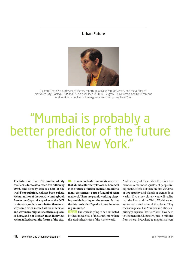#### Urban Future



Suketu Mehta is a professor of literary reportage at New York University and the author of Maximum City: Bombay Lost and Found, published in 2004. He grew up in Mumbai and New York and is at work on a book about immigrants in contemporary New York.

# "Mumbai is probably a better predictor of the future than New York."

**The future is urban: The number of city dwellers is forecast to reach five billion by 2030, and already exceeds half of the world's population. Kolkata-born Suketu Mehta, author of the award-winning book**  *Maximum City* **and a speaker at the OCF conference, understands better than most why some cities succeed where others fail and why many migrants see them as places of hope, and not despair. In an interview, Mehta talked about the future of the city.**

**In your book** *Maximum City* **you write that Mumbai (formerly known as Bombay) is the future of urban civilization. But to many Westerners, parts of Mumbai seem medieval. There are people working, sleeping and defecating on the streets. Is that the future of cities? Squalor in ever increasing amounts?**

 **Mehta:** The world is going to be dominated by these megacities of the South, more than the established cities of the richer world.

And in many of these cities there is a tremendous amount of squalor, of people living on the streets. But there are also windows of opportunity and islands of tremendous wealth. If you look closely, you will realize that the First and the Third World are no longer separated around the globe. They coexist in places like Mumbai and also, surprisingly, in places like New York: I have been to tenements in Chinatown, just 15 minutes from where I live, where 15 migrant workers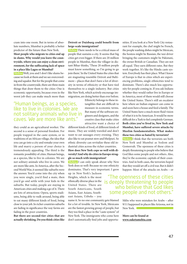cram into one room. But in terms of absolute numbers, Mumbai is probably a better predictor of the future than New York.

#### **Most people who migrate to cities end up in slums. Why would you leave the countryside, where you can enjoy a clean environment, for the suffocating lack of space in a place like Lagos or Mumbai?**

 **Mehta:** Well, you and I don't like slums because we look at them and we see overcrowding and squalor. But for the people that come in from the countryside, there are three main things that draw them to the cities: One is economic opportunity, because even in the worst job they can make much more than

### "Human beings, as a species, like to live in colonies. We are not solitary animals who live in caves. We are more like ants."

they could as an agricultural worker. The second is a sense of personal freedom. For people trapped in the caste system, or in traditions of an African village, the idea that you can go into a city and remake your own life and marry a person of your choice is tremendously appealing. The third is the romantic possibility of cities. Human beings, as a species, like to live in colonies. We are not solitary animals who live in caves. We are more like ants. In America, after the Second World War, it seemed like suburbs were the answer. You'd come into the city when you were single, you'd find a mate, then you'd go and settle with your kids in the suburbs. But today, people are staying in American cities and making a go of it. There are lots of attractions: Opera, sports stadiums, being able to walk around, being able to eat many different kinds of food, being close to your job. In richer countries suburbs are fading in significance the way farms are fading in the poor countries.

**But there are second-tier cities that are actually shrinking. Do you think cities like** 

#### **Detroit or Duisburg could benefit from large-scale immigration?**

 **Mehta:** There needs to be a critical mass of people that sustains a city. It seems that big cities get even bigger. If there are 20 million people in Mumbai, then the villager in distant Bihar thinks, 'These 20 million people must know something, so I'm going to go join them.' In the United States the cities that are stagnating resemble Detroit and Baltimore – places that don't have a lot of diversity in terms of ethnicity or that have tied themselves to a single industry. But cities like New York, which actively encourage immigration, are doing better than ever before.

> Ethnicity belongs to these intangibles that are difficult to measure in economic terms. But many of the software engineers and designers, and the creative class that make cities attractive want a choice of

different kinds of food, of different kinds of music. They are widely traveled and don't want to eat sausages every evening. They also like to eat peanut stew and bhelpuri. So ethnic diversity can revitalize these old industrial cities across the richer countries. **How does New York cope so well with diversity? And why do cities in Europe struggle so much with immigration?**

 **Mehta:** I can only speak about why New York does so well: Because no one ethnicity dominates. That's very important. I grew

up in New York's Jackson Heights, which is the most ethnically diverse place in the United States. There are South Americans, South Asians, East Asians, Southeast Asians, Uzbeks – you

name it. So no one community gets blamed for a lot of trouble. In New York, Mexicans are the fastest growing group of people, but they too find a place in the "caste system" of New York. The immigrants who come here don't automatically find jobs and opportunities. If you look at a New York City restaurant for example, the chef might be French, the people washing dishes might be Mexican, the hostess might be Russian, the taxi driver bringing the customers might be Pakistani, the owner British or Canadian. They are not all equal. They earn different rates. But they work together. It's like the Hindu caste system. Everybody has their place. What I know of Europe is that in cities which are experiencing problems, single ethnicities tend to dominate. There's also much less opportunity for people coming in. If you ask Indians whether they would rather live in Europe or in America, most of them would still choose the United States. There's still an escalator here where an Indian engineer can come in and soon have a house and feed a family. The United States have a much more fluid vision of what it is to be American. It would be more difficult for a Turk to feel completely German. **Both cities you've lived in, New York and Mumbai, have suffered severe attacks by Muslim fundamentalists. What makes these two cities so hated by terrorists?**

 **Mehta:** I think that the terrorists see both New York and Mumbai as Sodom and Gomorrah. The openness of these cities is deeply threatening to people who believe that God likes some people and not others. Also, they're the economic capitals of their countries. And in both cases, the terrorists hoped that they would set off a civil war. But it didn't happen: Most of the attacks on Arabs – or

### "The openness of these cities is deeply threatening to people who believe that God likes some people and not others."

Sikhs who were mistaken for Arabs – after 9/11 happened in places like Arizona, not in New York.

**More can be found at www.suketumehta.com**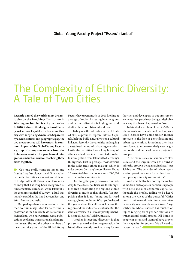#### Global Young Faculty Project "Essen/Istanbul"

# The Complexity of Ethnic Diversity: A Tale of Two Cities

**Recently named the world's most dynamic city by the Brookings Institution in Washington, Istanbul is a city on the rise. In 2010, it shared the designation of European Cultural Capital with Essen, another city with surprising dynamism. Separated by a wide cultural and geographic gap, the two metropolises still have much in common. As part of the Global Young Faculty, a group of young researchers from the Ruhr area examined the problems of integration and urban renewal that bring these cities together.**

**Can one really compare Essen and**  Istanbul? At first glance, the differences between the two cities seem vast and difficult to bridge. After all, Essen is in Germany, a country that has long been recognized as fundamentally European, while Istanbul is the economic capital of Turkey – a land that literally straddles the line between East and West, Europe and Asia.

But perhaps there are more similarities than we think, says Monika Salzbrunn, a professor at the Université de Lausanne in Switzerland, who has written several publications exploring transnational and migration issues. She and the other members of the economics group of the Global Young  Faculty have spent much of 2010 looking at a range of topics, including how religious and cultural diversity is highlighted and dealt with in both Istanbul and Essen.

To begin with, both cities have celebrated 2010 as proud European Cultural Capitals, helping build naturally strong cultural linkages. Secondly, they are cities undergoing a sustained period of urban regeneration. Lastly, the two cities have a long history of ethnic and cultural interconnectedness due to immigration from Istanbul to Germany's Ruhrgebiet. That is, perhaps, most obvious in the Ruhr area's ethnic makeup, which is today among Germany's most diverse. About 12 percent of the city's population of 600,000 call themselves immigrants.

One thing the group discovered is that, despite these facts, politicians in the Ruhrgebiet aren't promoting the region's ethnic diversity as much as they should. "It's surprising that it is not being put forward enough, in our opinion. What you've heard this year is about the cultural richness of the region and the industrial creativity. But the ethnic diversity in all its complexity is hardly being discussed," Salzbrunn says.

Another interesting discovery is that progress toward urban regeneration in Istanbul has recently provided a way for authorities and developers to put pressure on elements they perceive as being undesirable, in a way that hasn't happened in Essen.

In Istanbul, members of the city's Kurdish minority and members of the less privileged classes have come under intense pressure in the face of gentrification and urban regeneration. Sometimes they have been forced to move to entirely new neighborhoods to allow development projects to take place.

 "The main issues in Istanbul are class issues and the ways in which the Kurdish minority group is being marginalized," says Salzbrunn. "The very idea of urban regeneration provides a way for authorities to sweep away minority communities."

And while both cities portray themselves as modern metropolises, sometimes people with little social or economic capital fall through the cracks, failing to be heard among the voices of the powerful. "Cities need to put forward their diversity or internationality as an asset, because it is one," says Salzbrunn, whose research has touched on topics ranging from gender relations to transnational social spaces. "All kinds of people in Essen and Istanbul have proven their capacity for success. We all need to recognize that."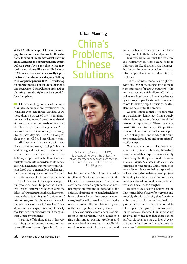**With 1.3 billion people, China is the most populous country in the world. It is also home to some of the globe's fastest growing cities. Architect and urban planning expert Deljana Iossifova says that what may look to outsiders like unbridled chaos in China's urban spaces is actually a productive mix of class and enterprise. Talking to fellow participants in the OCF workshop on participative urban development, Iossifova warned that Chinese-style urban planning models might not be a good fit for other places.**

**China is undergoing one of the most** dramatic demographic revolutions the world has ever seen. In the last thirty years, more than a quarter of the Asian giant's population has moved from farms and small villages in the countryside to booming cities like Shenzhen, Beijing, Shanghai, and Wuhan. And the trend shows no sign of slowing. Over the next 20 years, 15 to 20 million people each year will flood into Chinese cities.

All those new city dwellers will need places to live and work, making China the world's biggest de facto urban planning laboratory. Experts estimate that more than 1,500 skyscrapers will be built in China annually for decades to come; dozens of Chinese cities will need mass transport systems. China is faced with a tremendous challenge: It must build the equivalent of one Chicagosized city each year for the next two decades.

This heady mix of challenge and opportunity was one reason Bulgarian-born architect Deljana Iossifova, a research fellow at the School of Architecture and the Built Environment at the United Kingdom's University of Westminster, worried about what she would find when she journeyed to Shanghai, China, about four years ago to research how city dwellers were grappling with rapid change in their urban environment.

"I started off thinking there is this very scary fragmentation and segregation between different classes of people in Shang-

#### Urban Planning

China's Problems, Chinese **Solutions** 



Deljana Iossifova, born in 1977, is a research fellow at the University of Westminster and teaches architecture and urban design at the University of Nottingham.

hai," Iossifova says. "But I found the reality is different." She found one constant in the Chinese urban environment: Forced class coexistence, created largely because of internal migration from the countryside to the cities. By observing how Shanghai neighborhoods changed over the course of many years, Iossifova discovered that the rich, the middle class and the poor live side by side in the new, rapidly urbanizing China.

The close quarters mean people of different income levels must work together to find solutions to existing problems and somehow be of service to each other. Ruralto-urban migrants, for instance, have found unique niches in cities repairing bicycles or selling food to both the rich and poor.

Iossifova argues out that the dynamic and constantly shifting nature of large Chinese cities like Shanghai make them perfect fodder for experimentation in how to solve the problems our world will face in the future.

Yet the Chinese model isn't right for everyone. One of the things that has made it so interesting for urban planners is the political system, which allows officials to make sweeping changes without interference by various groups of stakeholders. When it comes to making rapid decisions, central planning accelerates the process.

As problematic as that is for advocates of participatory democracy, from a purely urban planning point of view it might be seen as an opportunity. "There are major possibilities tied to the specific political structure of the country which makes it possible to change the ways in which the built environment is produced and appropriated," Iossifova says.

Yet the autocratic urban planning system at work in China can be a double-edged sword. Some of these experiments are already threatening the things that make Chinese cities so unique. As a new middle class has sprung up in cities around China, many poor inner-city residents are being displaced to make way for urban redevelopment projects directed by the Chinese state, erasing the vibrant mixed neighborhoods Iossifova found when she first came to Shanghai.

It's clear to OCF-fellow Iossifova that the Chinese model won't work for everyone, and probably shouldn't. "A city that functions within one particular cultural, ecological or geographical context may be a complete catastrophe when you try to reproduce it someplace else," she says. "I think we should get away from the idea that there can be perfect solutions. You have to look at every city by itself and try to find solutions for every case."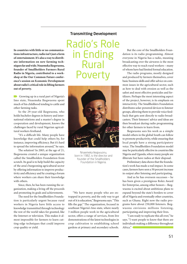#### Transmitting Development

**In countries with little or no communications infrastructure, radio isn't just a form of entertainment. It's also a way to distribute information on new farming techniques far and wide. Nnaemeka Ikegwuonu, founder of Smallholders Farmers Rural Radio in Nigeria, contributed to a workshop at the Our Common Future conference's session on Economic Development about radio's critical role in lifting farmers out of poverty.** 

Growing up in a rural part of Nigeria's Imo state, Nnaemeka Ikegwuonu spent much of his childhood tending to cattle and other farming tasks.

So the 29-year-old Ikegwuonu, who holds bachelor degrees in history and international relations and a master's degree in cooperation and development, knows the challenges faced by rural Nigerian agricultural workers firsthand.

"It's a difficult life. Many people have knowledge that could help others by, for instance, improving efficiency. But it's hard to spread the information around," he says.

The solution? In 2003, at the age of 21, Ikegwuonu created a unique organization called the Smallholders Foundation from scratch. Its goal is to help build the capacity of the area's burgeoning agricultural sector by offering information to improve productivity and efficiency and by creating a forum where workers can share their knowledge with others.

Since, then, he has been running the organization, making a living off the proceeds and promoting its goals and achievements.

The need for the Smallholders Foundation is particularly urgent because rural workers in Nigeria have little access to knowledge transmitted through technology the rest of the world takes for granted, like the Internet or television. This makes it almost impossible for farmers to learn cutting-edge techniques that could improve crop quality or yield.

Radio's Role in Ending Rural Poverty



Nnaemeka Ikegwuonu, born in 1982, is the director and founder of the Smallholders Foundation in Nigeria.

"We have many people who are entrapped in poverty, and the only way to get out of it is education," Ikegwuonu says. "This fills the gap." The organization, focused in southeast Nigeria's Imo state, where nearly 3 million people work in the agricultural sector, offers a range of services, from live demonstrations of the latest technologies in crop cultivation to establishing school gardens at primary and secondary schools.

But the core of the Smallholders Foundation is its radio programming. Almost everyone in Nigeria has a radio, meaning broadcasting over the airwaves is the most effective way to reach rural workers – many of whom have had limited formal education.

The radio programs, mostly designed and produced by farmers themselves, cover basic business skills and offer advice on common issues in the agricultural sector, such as how to deal with erosion as well as the safest and most effective pesticides and fertilizers. Perhaps the most interesting aspect of the project, however, is its emphasis on interactivity. The Smallholders Foundation distributes solar-powered devices to listener groups, allowing them to provide voice feedback that gets sent directly to radio broadcasters. Their listeners' advice and ideas are then broadcast during radio programming for other farmers to learn from.

Ikegwuonu sees his work as a simple model others in the global South can follow to promote productivity, while ensuring that local people have a strong participatory voice. The Smallholders Foundation model may be particularly effective in countries like Nigeria and Uganda, where many people are illiterate but have radios at their disposal.

Preliminary data shows that the foundation's work has made a real impact. In some cases, farmers have seen a 50 percent increase in output after listening and participating.

And as he has overseen successes – he has been given a prestigious Rolex Award for Enterprise, among other honors – Ikegwuonu is excited about ambitious plans to expand beyond the state's borders to cover all of Nigeria and eventually other countries, such as Ghana. Right now the radio programs have about 250,000 listeners. Ikegwuonu envisions millions listening, participating and improving their lives.

"I am ready to replicate this all over," he says. "I want people to know that there are individuals making a difference throughout Africa."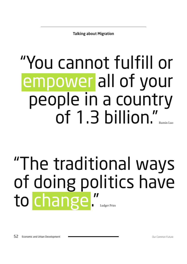Talking about Migration

# "You cannot fulfill or empower all of your people in a country of  $1.3$  billion."

# "The traditional ways of doing politics have to change."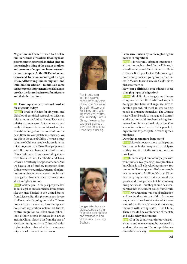**Migration isn't what it used to be. The familiar scenes of workers flooding from poorer countries to work in richer ones are increasingly a thing of the past, as the flows and currents of migration become steadily more complex. At the OCF conference, renowned German sociologist Ludger Pries and the young Chinese migrant – and immigration scholar – Rumin Luo came together for an inter-generational dialogue on what the future has in store for migrants and their destinations.**

#### **How important are national borders for migrants today?**

 **Pries:** I lived in Mexico for six years, and did a lot of empirical research on Mexican migration to the United States. That was a relatively simple case. But now we cannot easily distinguish between internal and international migration, as we could in the past. Both are completely intertwined. We see this in the case of China: There is a huge volume of Chinese people who are internal migrants, more than 200 million people each year. But we also have a lot of influx into China right now, from surrounding countries like Vietnam, Cambodia and Laos, which is a relatively new phenomenon. And we have a lot of outflow migration from China to other countries. Patterns of migration are getting more and more complex and entangled with other aspects of transnationalism and globalization.

 **Luo:** I totally agree. In the past people talked about illegal or undocumented immigrants, like the ones headed to the United States. from Mexico. But this phenomenon is very similar to what's going on in the Chinese domestic case, where we have the special household registration system that tries to control migration to urban areas. When I look at how people integrate into urban areas in China, I learn a lot from the case of Mexican immigrants – in China we're also trying to determine whether to empower migrants who come to urban areas.



Rumin Luo, born in1980, is a PhD candidate at Bielefeld University's Graduate School in History and Sociology and a visiting researcher at Boston University. Born in China, she earned her bachelor's degree at the China Agricultural University in Beijing.



Ludger Pries is a sociologist specializing in migration, participation and transnationalism at the Ruhr University Bochum.

#### **Is the rural-urban dynamic replacing the border in migration?**

 **Pries:** It is not rural, urban or international, but thoroughly mixed. In the US case, it is traditionally rural Mexico to urban United States. But if you look at California right now, immigrants are going from urban areas in Mexico to rural areas in California to pick strawberries.

#### **How can politicians best address these changing types of migration?**

 **Pries:** I think if migration gets much more complicated then the traditional ways of doing politics have to change. We have to develop procedural mechanisms to help people to organize themselves. The Chinese state will not be able to manage and control all the tensions and problems arising from internal and international migration. One lesson for me is we have to invite people to organize and to participate in resolving their problems.

#### **Does that mean more democracy?**

 **Pries:** More democracy, more participation. We have to invite people to participate so they are part of the solution, not the problem.

 **Luo:** In some ways I cannot fully agree with you. China is really facing these problems, but China is still a developing country. You cannot fulfill or empower all of your people in a country of 1.3 billion. It's true, China has many high-skilled international migrants, and if we go back to China we may bring new ideas – but they should be incorporated into the current policy framework.  **Pries:** My argument was not liberalization and leaving the state out of this. States are very crucial. If we look at states which were successful in the last 30 years, it was always the ones with strong states – like China. There needs to be a combination of the state and civil society institutions.

**Luo:** All of the countries are improving governance and management, but we need to work out the process. It's not a problem we can solve in one day.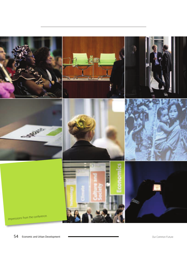